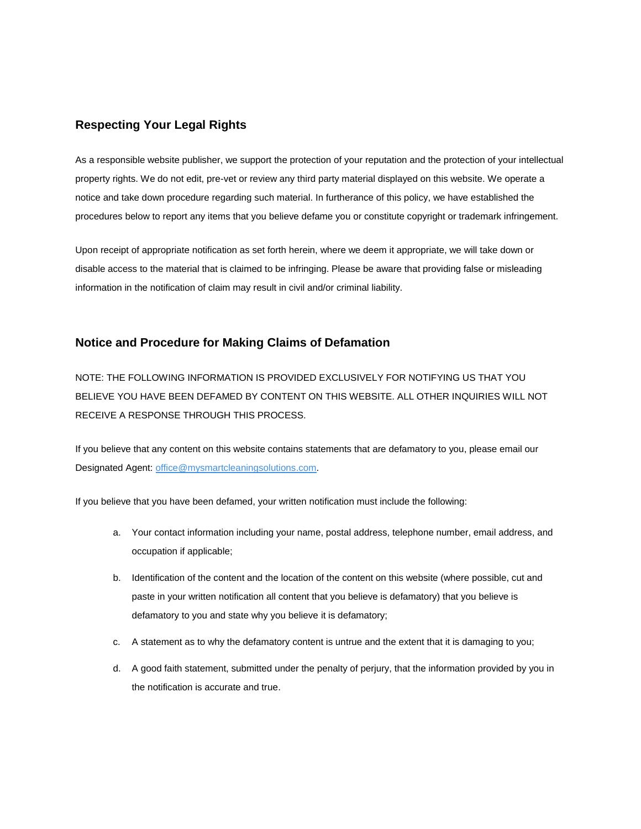## **Respecting Your Legal Rights**

As a responsible website publisher, we support the protection of your reputation and the protection of your intellectual property rights. We do not edit, pre-vet or review any third party material displayed on this website. We operate a notice and take down procedure regarding such material. In furtherance of this policy, we have established the procedures below to report any items that you believe defame you or constitute copyright or trademark infringement.

Upon receipt of appropriate notification as set forth herein, where we deem it appropriate, we will take down or disable access to the material that is claimed to be infringing. Please be aware that providing false or misleading information in the notification of claim may result in civil and/or criminal liability.

### **Notice and Procedure for Making Claims of Defamation**

NOTE: THE FOLLOWING INFORMATION IS PROVIDED EXCLUSIVELY FOR NOTIFYING US THAT YOU BELIEVE YOU HAVE BEEN DEFAMED BY CONTENT ON THIS WEBSITE. ALL OTHER INQUIRIES WILL NOT RECEIVE A RESPONSE THROUGH THIS PROCESS.

If you believe that any content on this website contains statements that are defamatory to you, please email our Designated Agent[: office@mysmartcleaningsolutions.com.](mailto:office@mysmartcleaningsolutions.com)

If you believe that you have been defamed, your written notification must include the following:

- a. Your contact information including your name, postal address, telephone number, email address, and occupation if applicable;
- b. Identification of the content and the location of the content on this website (where possible, cut and paste in your written notification all content that you believe is defamatory) that you believe is defamatory to you and state why you believe it is defamatory;
- c. A statement as to why the defamatory content is untrue and the extent that it is damaging to you;
- d. A good faith statement, submitted under the penalty of perjury, that the information provided by you in the notification is accurate and true.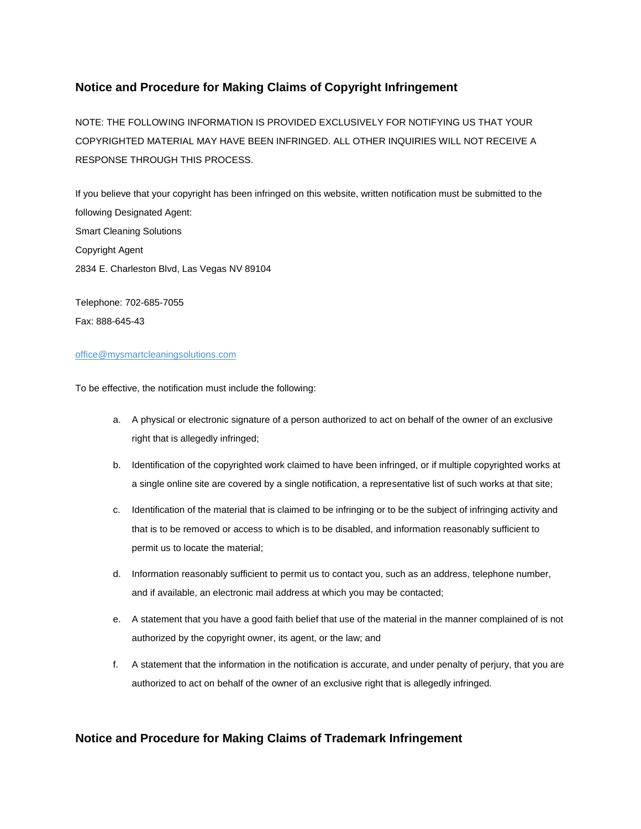## **Notice and Procedure for Making Claims of Copyright Infringement**

NOTE: THE FOLLOWING INFORMATION IS PROVIDED EXCLUSIVELY FOR NOTIFYING US THAT YOUR COPYRIGHTED MATERIAL MAY HAVE BEEN INFRINGED. ALL OTHER INQUIRIES WILL NOT RECEIVE A RESPONSE THROUGH THIS PROCESS.

If you believe that your copyright has been infringed on this website, written notification must be submitted to the following Designated Agent: Smart Cleaning Solutions Copyright Agent 2834 E. Charleston Blvd, Las Vegas NV 89104

Telephone: 702-685-7055 Fax: 888-645-43

#### office@mysmartcleaningsolutions.com

To be effective, the notification must include the following:

- a. A physical or electronic signature of a person authorized to act on behalf of the owner of an exclusive right that is allegedly infringed;
- b. Identification of the copyrighted work claimed to have been infringed, or if multiple copyrighted works at a single online site are covered by a single notification, a representative list of such works at that site;
- c. Identification of the material that is claimed to be infringing or to be the subject of infringing activity and that is to be removed or access to which is to be disabled, and information reasonably sufficient to permit us to locate the material;
- d. Information reasonably sufficient to permit us to contact you, such as an address, telephone number, and if available, an electronic mail address at which you may be contacted;
- e. A statement that you have a good faith belief that use of the material in the manner complained of is not authorized by the copyright owner, its agent, or the law; and
- f. A statement that the information in the notification is accurate, and under penalty of perjury, that you are authorized to act on behalf of the owner of an exclusive right that is allegedly infringed.

## **Notice and Procedure for Making Claims of Trademark Infringement**